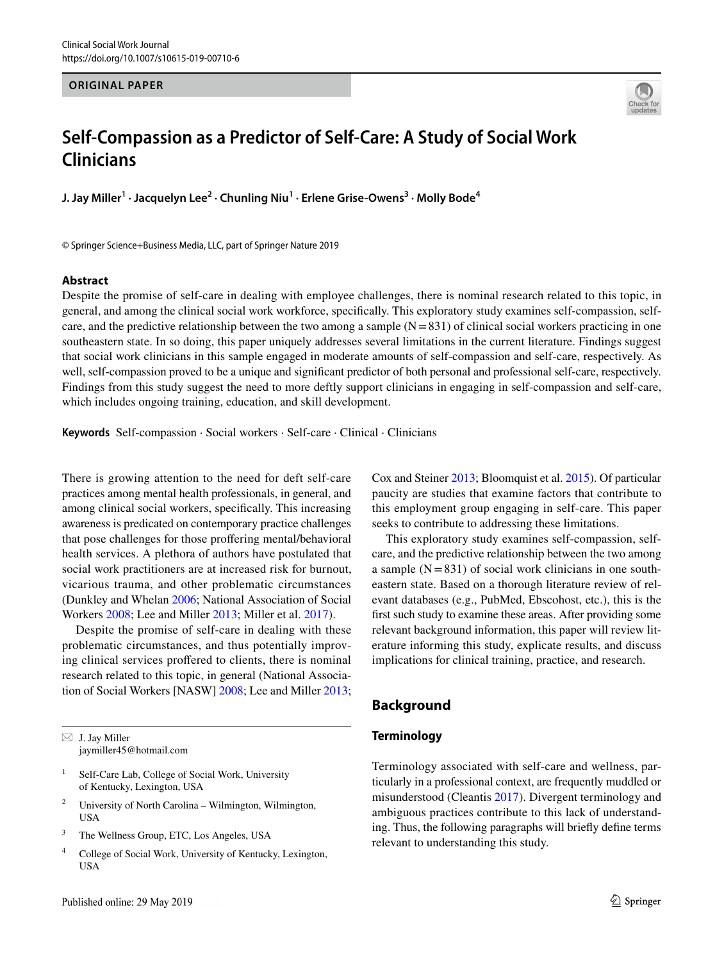#### **ORIGINAL PAPER**



# **Self‑Compassion as a Predictor of Self‑Care: A Study of Social Work Clinicians**

**J. Jay Miller** $^1$  **· Jacquelyn Lee** $^2$  **· Chunling Niu** $^1$  **· Erlene Grise-Owens** $^3$  **· Molly Bode** $^4$ 

© Springer Science+Business Media, LLC, part of Springer Nature 2019

#### **Abstract**

Despite the promise of self-care in dealing with employee challenges, there is nominal research related to this topic, in general, and among the clinical social work workforce, specifcally. This exploratory study examines self-compassion, selfcare, and the predictive relationship between the two among a sample  $(N=831)$  of clinical social workers practicing in one southeastern state. In so doing, this paper uniquely addresses several limitations in the current literature. Findings suggest that social work clinicians in this sample engaged in moderate amounts of self-compassion and self-care, respectively. As well, self-compassion proved to be a unique and signifcant predictor of both personal and professional self-care, respectively. Findings from this study suggest the need to more deftly support clinicians in engaging in self-compassion and self-care, which includes ongoing training, education, and skill development.

**Keywords** Self-compassion · Social workers · Self-care · Clinical · Clinicians

There is growing attention to the need for deft self-care practices among mental health professionals, in general, and among clinical social workers, specifcally. This increasing awareness is predicated on contemporary practice challenges that pose challenges for those profering mental/behavioral health services. A plethora of authors have postulated that social work practitioners are at increased risk for burnout, vicarious trauma, and other problematic circumstances (Dunkley and Whelan [2006;](#page-9-0) National Association of Social Workers [2008;](#page-9-1) Lee and Miller [2013](#page-9-2); Miller et al. [2017](#page-9-3)).

Despite the promise of self-care in dealing with these problematic circumstances, and thus potentially improving clinical services profered to clients, there is nominal research related to this topic, in general (National Association of Social Workers [NASW] [2008](#page-9-1); Lee and Miller [2013](#page-9-2);

 $\boxtimes$  J. Jay Miller jaymiller45@hotmail.com

- <sup>1</sup> Self-Care Lab, College of Social Work, University of Kentucky, Lexington, USA
- <sup>2</sup> University of North Carolina Wilmington, Wilmington, USA
- <sup>3</sup> The Wellness Group, ETC, Los Angeles, USA
- <sup>4</sup> College of Social Work, University of Kentucky, Lexington, USA

Cox and Steiner [2013](#page-9-4); Bloomquist et al. [2015](#page-9-5)). Of particular paucity are studies that examine factors that contribute to this employment group engaging in self-care. This paper seeks to contribute to addressing these limitations.

This exploratory study examines self-compassion, selfcare, and the predictive relationship between the two among a sample  $(N=831)$  of social work clinicians in one southeastern state. Based on a thorough literature review of relevant databases (e.g., PubMed, Ebscohost, etc.), this is the frst such study to examine these areas. After providing some relevant background information, this paper will review literature informing this study, explicate results, and discuss implications for clinical training, practice, and research.

# **Background**

#### **Terminology**

Terminology associated with self-care and wellness, particularly in a professional context, are frequently muddled or misunderstood (Cleantis [2017](#page-9-6)). Divergent terminology and ambiguous practices contribute to this lack of understanding. Thus, the following paragraphs will briefy defne terms relevant to understanding this study.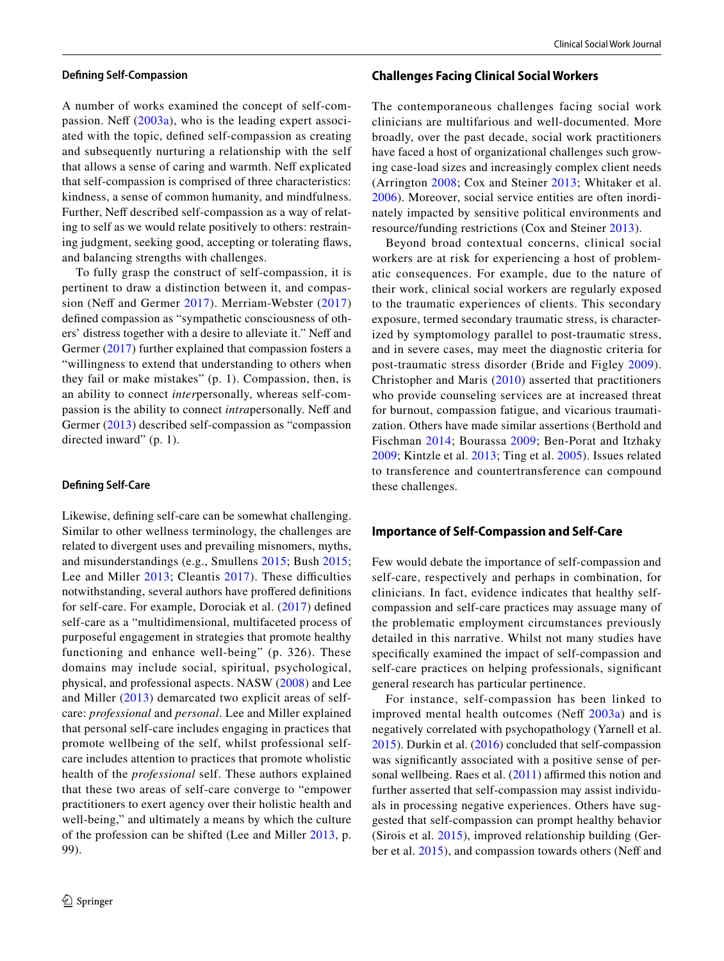#### **Defning Self‑Compassion**

A number of works examined the concept of self-compassion. Neff  $(2003a)$  $(2003a)$  $(2003a)$ , who is the leading expert associated with the topic, defned self-compassion as creating and subsequently nurturing a relationship with the self that allows a sense of caring and warmth. Neff explicated that self-compassion is comprised of three characteristics: kindness, a sense of common humanity, and mindfulness. Further, Neff described self-compassion as a way of relating to self as we would relate positively to others: restraining judgment, seeking good, accepting or tolerating faws, and balancing strengths with challenges.

To fully grasp the construct of self-compassion, it is pertinent to draw a distinction between it, and compas-sion (Neff and Germer [2017\)](#page-9-9). Merriam-Webster (2017) defned compassion as "sympathetic consciousness of others' distress together with a desire to alleviate it." Neff and Germer [\(2017\)](#page-9-8) further explained that compassion fosters a "willingness to extend that understanding to others when they fail or make mistakes" (p. 1). Compassion, then, is an ability to connect *inter*personally, whereas self-compassion is the ability to connect *intra*personally. Neff and Germer [\(2013\)](#page-9-10) described self-compassion as "compassion directed inward" (p. 1).

#### **Defning Self‑Care**

Likewise, defning self-care can be somewhat challenging. Similar to other wellness terminology, the challenges are related to divergent uses and prevailing misnomers, myths, and misunderstandings (e.g., Smullens [2015;](#page-10-0) Bush [2015](#page-9-11); Lee and Miller [2013;](#page-9-2) Cleantis [2017\)](#page-9-6). These difficulties notwithstanding, several authors have profered defnitions for self-care. For example, Dorociak et al. ([2017\)](#page-9-12) defned self-care as a "multidimensional, multifaceted process of purposeful engagement in strategies that promote healthy functioning and enhance well-being" (p. 326). These domains may include social, spiritual, psychological, physical, and professional aspects. NASW [\(2008\)](#page-9-1) and Lee and Miller ([2013\)](#page-9-2) demarcated two explicit areas of selfcare: *professional* and *personal*. Lee and Miller explained that personal self-care includes engaging in practices that promote wellbeing of the self, whilst professional selfcare includes attention to practices that promote wholistic health of the *professional* self. These authors explained that these two areas of self-care converge to "empower practitioners to exert agency over their holistic health and well-being," and ultimately a means by which the culture of the profession can be shifted (Lee and Miller [2013,](#page-9-2) p. 99).

#### **Challenges Facing Clinical Social Workers**

The contemporaneous challenges facing social work clinicians are multifarious and well-documented. More broadly, over the past decade, social work practitioners have faced a host of organizational challenges such growing case-load sizes and increasingly complex client needs (Arrington [2008](#page-9-13); Cox and Steiner [2013;](#page-9-4) Whitaker et al. [2006\)](#page-10-1). Moreover, social service entities are often inordinately impacted by sensitive political environments and resource/funding restrictions (Cox and Steiner [2013](#page-9-4)).

Beyond broad contextual concerns, clinical social workers are at risk for experiencing a host of problematic consequences. For example, due to the nature of their work, clinical social workers are regularly exposed to the traumatic experiences of clients. This secondary exposure, termed secondary traumatic stress, is characterized by symptomology parallel to post-traumatic stress, and in severe cases, may meet the diagnostic criteria for post-traumatic stress disorder (Bride and Figley [2009](#page-9-14)). Christopher and Maris ([2010\)](#page-9-15) asserted that practitioners who provide counseling services are at increased threat for burnout, compassion fatigue, and vicarious traumatization. Others have made similar assertions (Berthold and Fischman [2014;](#page-9-16) Bourassa [2009](#page-9-17); Ben-Porat and Itzhaky [2009;](#page-9-18) Kintzle et al. [2013;](#page-9-19) Ting et al. [2005](#page-10-2)). Issues related to transference and countertransference can compound these challenges.

#### **Importance of Self‑Compassion and Self‑Care**

Few would debate the importance of self-compassion and self-care, respectively and perhaps in combination, for clinicians. In fact, evidence indicates that healthy selfcompassion and self-care practices may assuage many of the problematic employment circumstances previously detailed in this narrative. Whilst not many studies have specifcally examined the impact of self-compassion and self-care practices on helping professionals, signifcant general research has particular pertinence.

For instance, self-compassion has been linked to improved mental health outcomes (Neff  $2003a$ ) and is negatively correlated with psychopathology (Yarnell et al. [2015](#page-10-3)). Durkin et al. ([2016\)](#page-9-20) concluded that self-compassion was signifcantly associated with a positive sense of personal wellbeing. Raes et al.  $(2011)$  $(2011)$  $(2011)$  affirmed this notion and further asserted that self-compassion may assist individuals in processing negative experiences. Others have suggested that self-compassion can prompt healthy behavior (Sirois et al. [2015](#page-10-5)), improved relationship building (Ger-ber et al. [2015](#page-9-21)), and compassion towards others (Neff and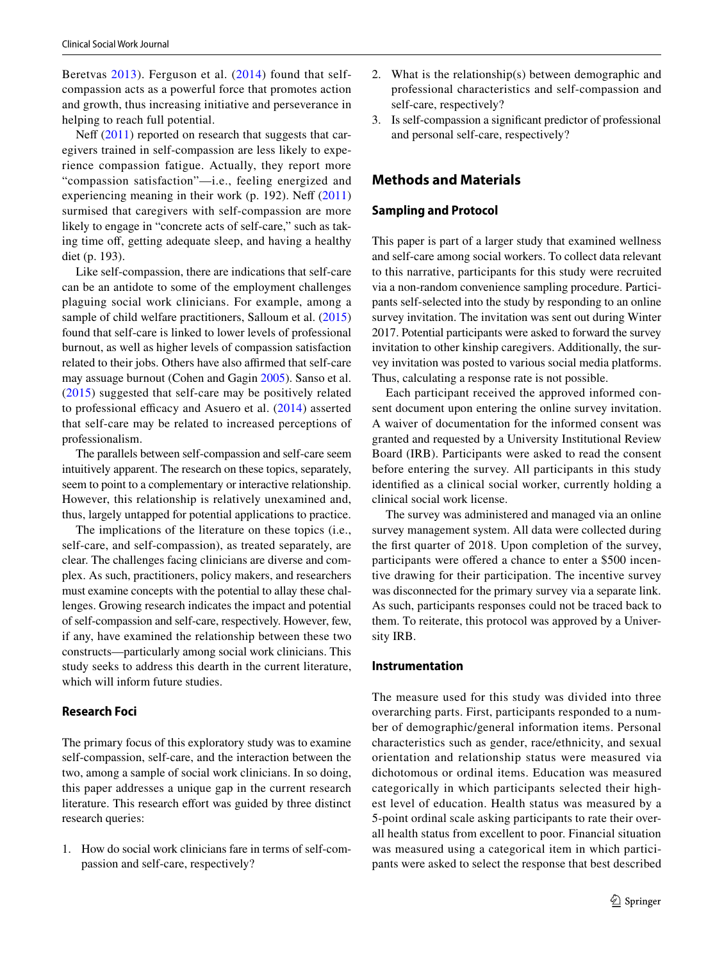Beretvas [2013\)](#page-9-22). Ferguson et al. ([2014\)](#page-9-23) found that selfcompassion acts as a powerful force that promotes action and growth, thus increasing initiative and perseverance in helping to reach full potential.

Neff  $(2011)$  reported on research that suggests that caregivers trained in self-compassion are less likely to experience compassion fatigue. Actually, they report more "compassion satisfaction"—i.e., feeling energized and experiencing meaning in their work (p. 192). Neff  $(2011)$ surmised that caregivers with self-compassion are more likely to engage in "concrete acts of self-care," such as taking time off, getting adequate sleep, and having a healthy diet (p. 193).

Like self-compassion, there are indications that self-care can be an antidote to some of the employment challenges plaguing social work clinicians. For example, among a sample of child welfare practitioners, Salloum et al. ([2015\)](#page-10-6) found that self-care is linked to lower levels of professional burnout, as well as higher levels of compassion satisfaction related to their jobs. Others have also affirmed that self-care may assuage burnout (Cohen and Gagin [2005\)](#page-9-25). Sanso et al. ([2015](#page-10-7)) suggested that self-care may be positively related to professional efficacy and Asuero et al.  $(2014)$  asserted that self-care may be related to increased perceptions of professionalism.

The parallels between self-compassion and self-care seem intuitively apparent. The research on these topics, separately, seem to point to a complementary or interactive relationship. However, this relationship is relatively unexamined and, thus, largely untapped for potential applications to practice.

The implications of the literature on these topics (i.e., self-care, and self-compassion), as treated separately, are clear. The challenges facing clinicians are diverse and complex. As such, practitioners, policy makers, and researchers must examine concepts with the potential to allay these challenges. Growing research indicates the impact and potential of self-compassion and self-care, respectively. However, few, if any, have examined the relationship between these two constructs—particularly among social work clinicians. This study seeks to address this dearth in the current literature, which will inform future studies.

## **Research Foci**

The primary focus of this exploratory study was to examine self-compassion, self-care, and the interaction between the two, among a sample of social work clinicians. In so doing, this paper addresses a unique gap in the current research literature. This research effort was guided by three distinct research queries:

1. How do social work clinicians fare in terms of self-compassion and self-care, respectively?

- 2. What is the relationship(s) between demographic and professional characteristics and self-compassion and self-care, respectively?
- 3. Is self-compassion a signifcant predictor of professional and personal self-care, respectively?

# **Methods and Materials**

## **Sampling and Protocol**

This paper is part of a larger study that examined wellness and self-care among social workers. To collect data relevant to this narrative, participants for this study were recruited via a non-random convenience sampling procedure. Participants self-selected into the study by responding to an online survey invitation. The invitation was sent out during Winter 2017. Potential participants were asked to forward the survey invitation to other kinship caregivers. Additionally, the survey invitation was posted to various social media platforms. Thus, calculating a response rate is not possible.

Each participant received the approved informed consent document upon entering the online survey invitation. A waiver of documentation for the informed consent was granted and requested by a University Institutional Review Board (IRB). Participants were asked to read the consent before entering the survey. All participants in this study identifed as a clinical social worker, currently holding a clinical social work license.

The survey was administered and managed via an online survey management system. All data were collected during the frst quarter of 2018. Upon completion of the survey, participants were offered a chance to enter a \$500 incentive drawing for their participation. The incentive survey was disconnected for the primary survey via a separate link. As such, participants responses could not be traced back to them. To reiterate, this protocol was approved by a University IRB.

#### **Instrumentation**

The measure used for this study was divided into three overarching parts. First, participants responded to a number of demographic/general information items. Personal characteristics such as gender, race/ethnicity, and sexual orientation and relationship status were measured via dichotomous or ordinal items. Education was measured categorically in which participants selected their highest level of education. Health status was measured by a 5-point ordinal scale asking participants to rate their overall health status from excellent to poor. Financial situation was measured using a categorical item in which participants were asked to select the response that best described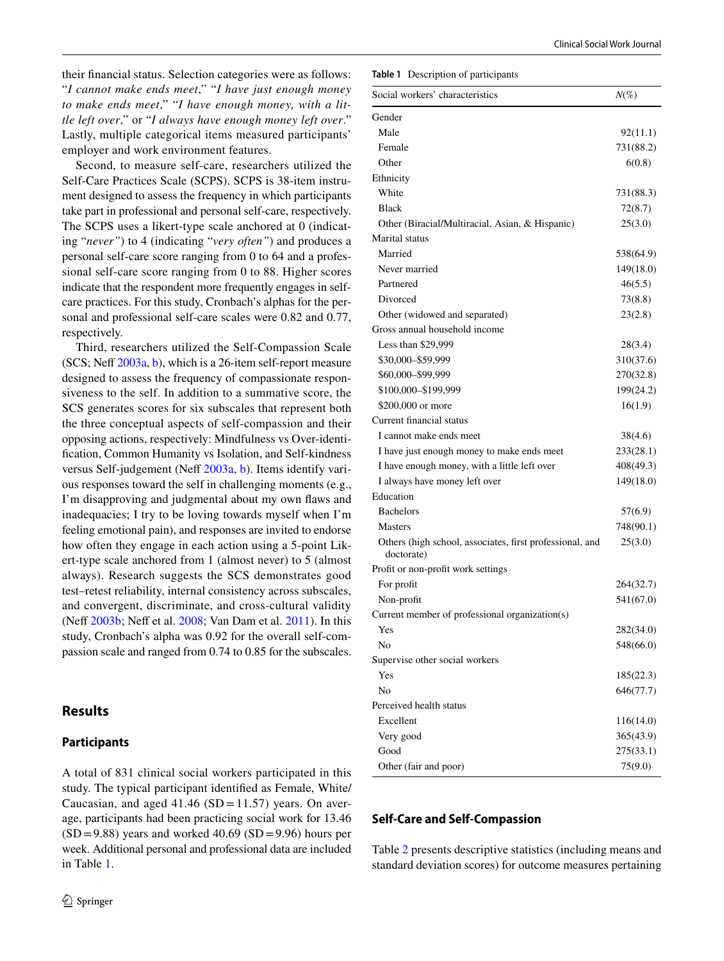their fnancial status. Selection categories were as follows: "*I cannot make ends meet*," "*I have just enough money to make ends meet*," "*I have enough money, with a little left over*," or "*I always have enough money left over*." Lastly, multiple categorical items measured participants' employer and work environment features.

Second, to measure self-care, researchers utilized the Self-Care Practices Scale (SCPS). SCPS is 38-item instrument designed to assess the frequency in which participants take part in professional and personal self-care, respectively. The SCPS uses a likert-type scale anchored at 0 (indicating "*never"*) to 4 (indicating "*very often"*) and produces a personal self-care score ranging from 0 to 64 and a professional self-care score ranging from 0 to 88. Higher scores indicate that the respondent more frequently engages in selfcare practices. For this study, Cronbach's alphas for the personal and professional self-care scales were 0.82 and 0.77, respectively.

Third, researchers utilized the Self-Compassion Scale (SCS; Neff  $2003a$ , [b](#page-9-27)), which is a 26-item self-report measure designed to assess the frequency of compassionate responsiveness to the self. In addition to a summative score, the SCS generates scores for six subscales that represent both the three conceptual aspects of self-compassion and their opposing actions, respectively: Mindfulness vs Over-identifcation, Common Humanity vs Isolation, and Self-kindness versus Self-judgement (Neff [2003a](#page-9-7), [b](#page-9-27)). Items identify various responses toward the self in challenging moments (e.g., I'm disapproving and judgmental about my own faws and inadequacies; I try to be loving towards myself when I'm feeling emotional pain), and responses are invited to endorse how often they engage in each action using a 5-point Likert-type scale anchored from 1 (almost never) to 5 (almost always). Research suggests the SCS demonstrates good test–retest reliability, internal consistency across subscales, and convergent, discriminate, and cross-cultural validity (Neff [2003b;](#page-9-27) Neff et al. [2008](#page-10-8); Van Dam et al. [2011](#page-10-9)). In this study, Cronbach's alpha was 0.92 for the overall self-compassion scale and ranged from 0.74 to 0.85 for the subscales.

# **Results**

## **Participants**

A total of 831 clinical social workers participated in this study. The typical participant identifed as Female, White/ Caucasian, and aged  $41.46$  (SD = 11.57) years. On average, participants had been practicing social work for 13.46  $(SD=9.88)$  years and worked 40.69  $(SD=9.96)$  hours per week. Additional personal and professional data are included in Table [1](#page-3-0).

#### <span id="page-3-0"></span>**Table 1** Description of participants

| Social workers' characteristics                                        | $N(\%)$   |
|------------------------------------------------------------------------|-----------|
| Gender                                                                 |           |
| Male                                                                   | 92(11.1)  |
| Female                                                                 | 731(88.2) |
| Other                                                                  | 6(0.8)    |
| Ethnicity                                                              |           |
| White                                                                  | 731(88.3) |
| <b>Black</b>                                                           | 72(8.7)   |
| Other (Biracial/Multiracial, Asian, & Hispanic)                        | 25(3.0)   |
| Marital status                                                         |           |
| Married                                                                | 538(64.9) |
| Never married                                                          | 149(18.0) |
| Partnered                                                              | 46(5.5)   |
| Divorced                                                               | 73(8.8)   |
| Other (widowed and separated)                                          | 23(2.8)   |
| Gross annual household income                                          |           |
| Less than \$29,999                                                     | 28(3.4)   |
| \$30,000-\$59,999                                                      | 310(37.6) |
| \$60,000-\$99,999                                                      | 270(32.8) |
| \$100,000-\$199,999                                                    | 199(24.2) |
| \$200,000 or more                                                      | 16(1.9)   |
| Current financial status                                               |           |
| I cannot make ends meet                                                | 38(4.6)   |
| I have just enough money to make ends meet                             | 233(28.1) |
| I have enough money, with a little left over                           | 408(49.3) |
| I always have money left over                                          | 149(18.0) |
| Education                                                              |           |
| <b>Bachelors</b>                                                       | 57(6.9)   |
| <b>Masters</b>                                                         | 748(90.1) |
| Others (high school, associates, first professional, and<br>doctorate) | 25(3.0)   |
| Profit or non-profit work settings                                     |           |
| For profit                                                             | 264(32.7) |
| Non-profit                                                             | 541(67.0) |
| Current member of professional organization(s)                         |           |
| Yes                                                                    | 282(34.0) |
| No                                                                     | 548(66.0) |
| Supervise other social workers                                         |           |
| Yes                                                                    | 185(22.3) |
| No                                                                     | 646(77.7) |
| Perceived health status                                                |           |
| Excellent                                                              | 116(14.0) |
| Very good                                                              | 365(43.9) |
| Good                                                                   | 275(33.1) |
| Other (fair and poor)                                                  | 75(9.0)   |

#### **Self‑Care and Self‑Compassion**

Table [2](#page-4-0) presents descriptive statistics (including means and standard deviation scores) for outcome measures pertaining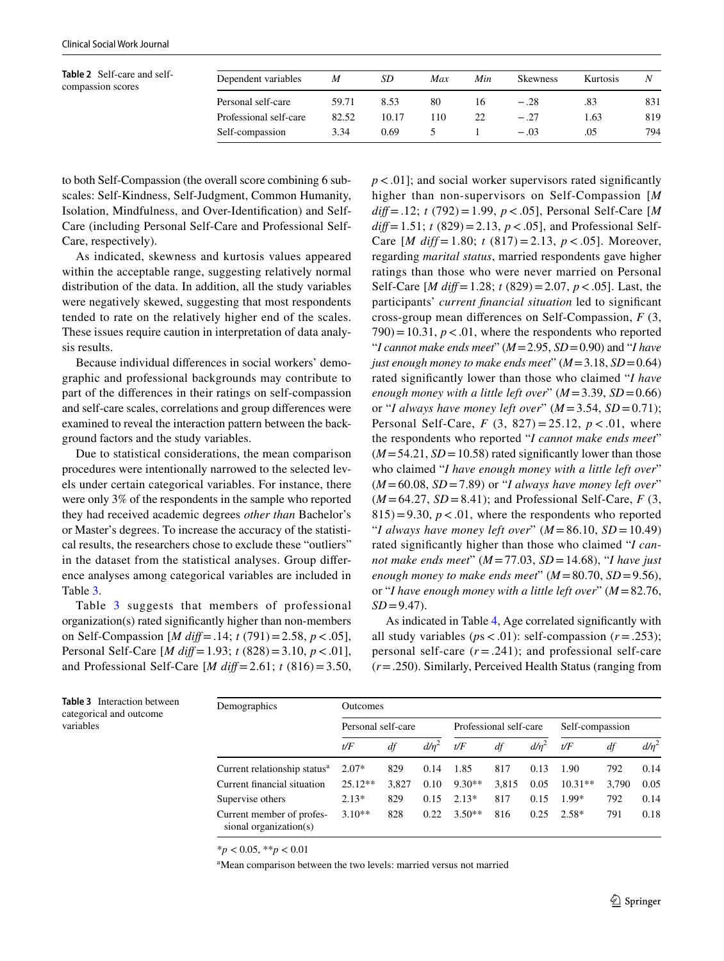<span id="page-4-0"></span>

| Table 2 Self-care and self-<br>compassion scores | Dependent variables    | M     | SD    | Max | Min | <b>Skewness</b> | Kurtosis |     |
|--------------------------------------------------|------------------------|-------|-------|-----|-----|-----------------|----------|-----|
|                                                  | Personal self-care     | 59.71 | 8.53  | 80  | 16  | $-.28$          | .83      | 831 |
|                                                  | Professional self-care | 82.52 | 10.17 | 110 | 22  | $-.27$          | 1.63     | 819 |
|                                                  | Self-compassion        | 3.34  | 0.69  |     |     | $-.03$          | .05      | 794 |

to both Self-Compassion (the overall score combining 6 subscales: Self-Kindness, Self-Judgment, Common Humanity, Isolation, Mindfulness, and Over-Identifcation) and Self-Care (including Personal Self-Care and Professional Self-Care, respectively).

As indicated, skewness and kurtosis values appeared within the acceptable range, suggesting relatively normal distribution of the data. In addition, all the study variables were negatively skewed, suggesting that most respondents tended to rate on the relatively higher end of the scales. These issues require caution in interpretation of data analysis results.

Because individual diferences in social workers' demographic and professional backgrounds may contribute to part of the diferences in their ratings on self-compassion and self-care scales, correlations and group diferences were examined to reveal the interaction pattern between the background factors and the study variables.

Due to statistical considerations, the mean comparison procedures were intentionally narrowed to the selected levels under certain categorical variables. For instance, there were only 3% of the respondents in the sample who reported they had received academic degrees *other than* Bachelor's or Master's degrees. To increase the accuracy of the statistical results, the researchers chose to exclude these "outliers" in the dataset from the statistical analyses. Group diference analyses among categorical variables are included in Table [3](#page-4-1).

Table [3](#page-4-1) suggests that members of professional organization(s) rated signifcantly higher than non-members on Self-Compassion [*M dif*=.14; *t* (791)=2.58, *p*<.05], Personal Self-Care [*M dif*=1.93; *t* (828)=3.10, *p*<.01], and Professional Self-Care  $[M \text{ diff} = 2.61; t (816) = 3.50,$ 

<span id="page-4-1"></span>**Table 3** Interaction between categorical and outcome

variables

 $p < .01$ ; and social worker supervisors rated significantly higher than non-supervisors on Self-Compassion [*M dif*=.12; *t* (792)=1.99, *p*<.05], Personal Self-Care [*M*   $diff = 1.51$ ; *t* (829) = 2.13, *p* < .05], and Professional Self-Care [*M diff* = 1.80; *t* (817) = 2.13, *p* < .05]. Moreover, regarding *marital status*, married respondents gave higher ratings than those who were never married on Personal Self-Care [*M dif*=1.28; *t* (829)=2.07, *p*<.05]. Last, the participants' *current fnancial situation* led to signifcant cross-group mean diferences on Self-Compassion, *F* (3,  $790$ ) = 10.31,  $p < 0.01$ , where the respondents who reported "*I cannot make ends meet*" (*M*=2.95, *SD*=0.90) and "*I have just enough money to make ends meet*"  $(M=3.18, SD=0.64)$ rated signifcantly lower than those who claimed "*I have enough money with a little left over*"  $(M=3.39, SD=0.66)$ or "*I always have money left over*" (*M* =3.54, *SD* =0.71); Personal Self-Care, *F* (3, 827) = 25.12, *p* < .01, where the respondents who reported "*I cannot make ends meet*"  $(M=54.21, SD=10.58)$  rated significantly lower than those who claimed "*I have enough money with a little left over*"  $(M=60.08, SD=7.89)$  or "*I always have money left over*"  $(M=64.27, SD=8.41)$ ; and Professional Self-Care, *F* (3,  $815$ )=9.30,  $p < .01$ , where the respondents who reported "*I always have money left over*"  $(M = 86.10, SD = 10.49)$ rated signifcantly higher than those who claimed "*I cannot make ends meet*" (*M* =77.03, *SD*=14.68), "*I have just enough money to make ends meet*"  $(M=80.70, SD=9.56)$ , or "*I have enough money with a little left over*" (*M*=82.76,  $SD = 9.47$ .

As indicated in Table [4](#page-5-0), Age correlated significantly with all study variables ( $ps < .01$ ): self-compassion ( $r = .253$ ); personal self-care  $(r = .241)$ ; and professional self-care (*r*=.250). Similarly, Perceived Health Status (ranging from

| Demographics                                        | Outcomes           |       |         |                        |       |         |                 |       |         |
|-----------------------------------------------------|--------------------|-------|---------|------------------------|-------|---------|-----------------|-------|---------|
|                                                     | Personal self-care |       |         | Professional self-care |       |         | Self-compassion |       |         |
|                                                     | t/F                | df    | $d/n^2$ | t/F                    | df    | $d/n^2$ | t/F             | df    | $d/n^2$ |
| Current relationship status <sup>a</sup>            | $2.07*$            | 829   | 0.14    | 1.85                   | 817   | 0.13    | 1.90            | 792   | 0.14    |
| Current financial situation                         | $25.12**$          | 3.827 | 0.10    | $9.30**$               | 3,815 | 0.05    | $10.31**$       | 3.790 | 0.05    |
| Supervise others                                    | $2.13*$            | 829   | 0.15    | $2.13*$                | 817   | 0.15    | 1.99*           | 792   | 0.14    |
| Current member of profes-<br>sional organization(s) | $3.10**$           | 828   | 0.22    | $3.50**$               | 816   | 0.25    | $2.58*$         | 791   | 0.18    |

\**p* < 0.05, \*\**p* < 0.01

a Mean comparison between the two levels: married versus not married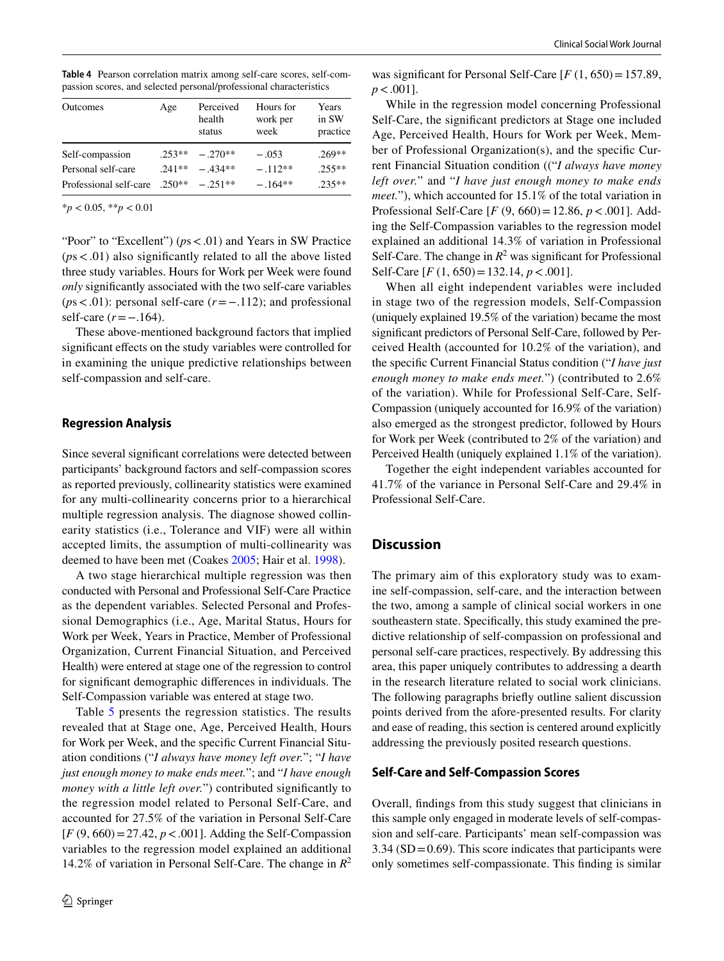<span id="page-5-0"></span>**Table 4** Pearson correlation matrix among self-care scores, self-compassion scores, and selected personal/professional characteristics

| <b>Outcomes</b>        | Age      | Perceived<br>health<br>status | Hours for<br>work per<br>week | Years<br>in SW<br>practice |
|------------------------|----------|-------------------------------|-------------------------------|----------------------------|
| Self-compassion        |          | $.253** - .270**$             | $-.053$                       | $.269**$                   |
| Personal self-care     | $241**$  | $-434**$                      | $-112**$                      | $.255**$                   |
| Professional self-care | $.250**$ | $-.251**$                     | $-164**$                      | $.235**$                   |

\**p* < 0.05, \*\**p* < 0.01

"Poor" to "Excellent") ( $ps < .01$ ) and Years in SW Practice (*p*s<.01) also signifcantly related to all the above listed three study variables. Hours for Work per Week were found *only* signifcantly associated with the two self-care variables (*p*s<.01): personal self-care (*r*=−.112); and professional self-care (*r*=−.164).

These above-mentioned background factors that implied significant effects on the study variables were controlled for in examining the unique predictive relationships between self-compassion and self-care.

## **Regression Analysis**

Since several signifcant correlations were detected between participants' background factors and self-compassion scores as reported previously, collinearity statistics were examined for any multi-collinearity concerns prior to a hierarchical multiple regression analysis. The diagnose showed collinearity statistics (i.e., Tolerance and VIF) were all within accepted limits, the assumption of multi-collinearity was deemed to have been met (Coakes [2005;](#page-9-28) Hair et al. [1998](#page-9-29)).

A two stage hierarchical multiple regression was then conducted with Personal and Professional Self-Care Practice as the dependent variables. Selected Personal and Professional Demographics (i.e., Age, Marital Status, Hours for Work per Week, Years in Practice, Member of Professional Organization, Current Financial Situation, and Perceived Health) were entered at stage one of the regression to control for signifcant demographic diferences in individuals. The Self-Compassion variable was entered at stage two.

Table [5](#page-6-0) presents the regression statistics. The results revealed that at Stage one, Age, Perceived Health, Hours for Work per Week, and the specifc Current Financial Situation conditions ("*I always have money left over.*"; "*I have just enough money to make ends meet.*"; and "*I have enough money with a little left over.*") contributed signifcantly to the regression model related to Personal Self-Care, and accounted for 27.5% of the variation in Personal Self-Care  $[F(9, 660) = 27.42, p < .001]$ . Adding the Self-Compassion variables to the regression model explained an additional 14.2% of variation in Personal Self-Care. The change in  $R^2$ 

was significant for Personal Self-Care  $[F(1, 650) = 157.89]$ , *p*<.001].

While in the regression model concerning Professional Self-Care, the signifcant predictors at Stage one included Age, Perceived Health, Hours for Work per Week, Member of Professional Organization(s), and the specifc Current Financial Situation condition (("*I always have money left over.*" and "*I have just enough money to make ends meet.*"), which accounted for 15.1% of the total variation in Professional Self-Care [*F* (9, 660)=12.86, *p*<.001]. Adding the Self-Compassion variables to the regression model explained an additional 14.3% of variation in Professional Self-Care. The change in  $R^2$  was significant for Professional Self-Care [*F* (1, 650)=132.14, *p*<.001].

When all eight independent variables were included in stage two of the regression models, Self-Compassion (uniquely explained 19.5% of the variation) became the most signifcant predictors of Personal Self-Care, followed by Perceived Health (accounted for 10.2% of the variation), and the specifc Current Financial Status condition ("*I have just enough money to make ends meet.*") (contributed to 2.6% of the variation). While for Professional Self-Care, Self-Compassion (uniquely accounted for 16.9% of the variation) also emerged as the strongest predictor, followed by Hours for Work per Week (contributed to 2% of the variation) and Perceived Health (uniquely explained 1.1% of the variation).

Together the eight independent variables accounted for 41.7% of the variance in Personal Self-Care and 29.4% in Professional Self-Care.

## **Discussion**

The primary aim of this exploratory study was to examine self-compassion, self-care, and the interaction between the two, among a sample of clinical social workers in one southeastern state. Specifcally, this study examined the predictive relationship of self-compassion on professional and personal self-care practices, respectively. By addressing this area, this paper uniquely contributes to addressing a dearth in the research literature related to social work clinicians. The following paragraphs briefy outline salient discussion points derived from the afore-presented results. For clarity and ease of reading, this section is centered around explicitly addressing the previously posited research questions.

#### **Self‑Care and Self‑Compassion Scores**

Overall, fndings from this study suggest that clinicians in this sample only engaged in moderate levels of self-compassion and self-care. Participants' mean self-compassion was  $3.34$  (SD = 0.69). This score indicates that participants were only sometimes self-compassionate. This fnding is similar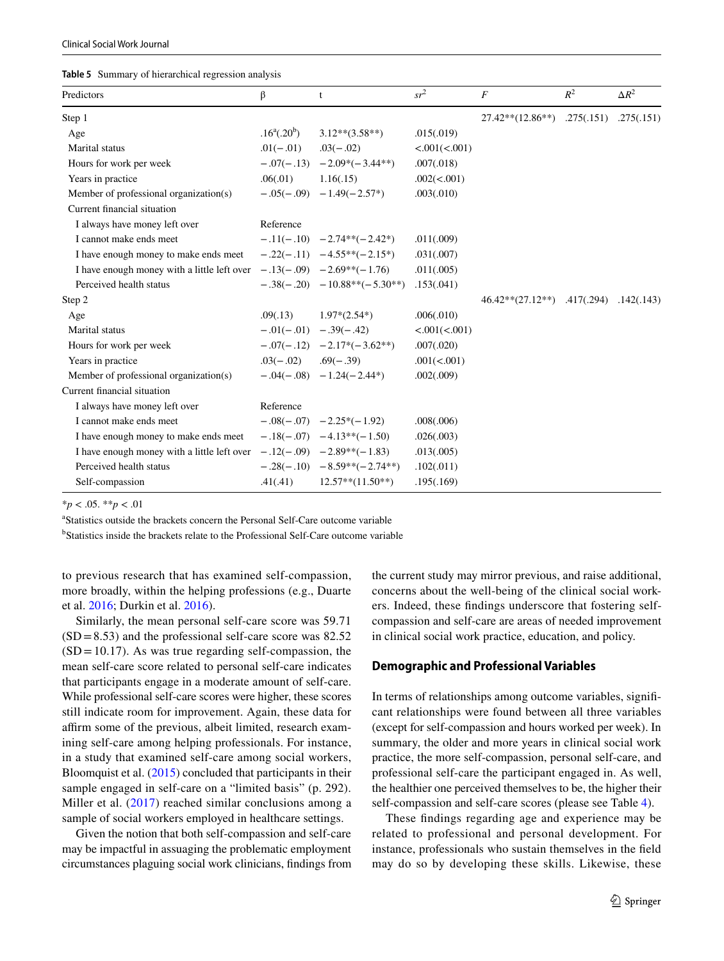#### <span id="page-6-0"></span>**Table 5** Summary of hierarchical regression analysis

| Predictors                                                                 | β                          | t                                | $sr^2$       | $\overline{F}$                                | $R^2$      | $\Delta R^2$ |
|----------------------------------------------------------------------------|----------------------------|----------------------------------|--------------|-----------------------------------------------|------------|--------------|
| Step 1                                                                     |                            |                                  |              | $27.42**$ (12.86**)                           | .275(.151) | .275(.151)   |
| Age                                                                        | $.16^{\rm a}(.20^{\rm b})$ | $3.12**$ (3.58**)                | .015(.019)   |                                               |            |              |
| Marital status                                                             | $.01(-.01)$                | $.03(-.02)$                      | <.001(<.001) |                                               |            |              |
| Hours for work per week                                                    |                            | $-.07(-.13)$ $-2.09*(-3.44**)$   | .007(.018)   |                                               |            |              |
| Years in practice                                                          | .06(.01)                   | 1.16(.15)                        | .002(<.001)  |                                               |            |              |
| Member of professional organization(s)                                     |                            | $-.05(-.09)$ $-1.49(-2.57))$     | .003(.010)   |                                               |            |              |
| Current financial situation                                                |                            |                                  |              |                                               |            |              |
| I always have money left over                                              | Reference                  |                                  |              |                                               |            |              |
| I cannot make ends meet                                                    |                            | $-.11(-.10)$ $-2.74**(-2.42*)$   | .011(.009)   |                                               |            |              |
| I have enough money to make ends meet                                      |                            | $-.22(-.11)$ $-4.55**(-2.15*)$   | .031(.007)   |                                               |            |              |
| I have enough money with a little left over $-.13(-.09)$ $-.2.69**(-1.76)$ |                            |                                  | .011(.005)   |                                               |            |              |
| Perceived health status                                                    |                            | $-.38(-.20)$ $-10.88**(-5.30**)$ | .153(.041)   |                                               |            |              |
| Step 2                                                                     |                            |                                  |              | $46.42** (27.12**)$ $.417(.294)$ $.142(.143)$ |            |              |
| Age                                                                        |                            | $.09(.13)$ $1.97*(2.54*)$        | .006(.010)   |                                               |            |              |
| Marital status                                                             |                            | $-.01(-.01)$ $-.39(-.42)$        | <.001(<.001) |                                               |            |              |
| Hours for work per week                                                    |                            | $-.07(-.12)$ $-2.17*(-3.62**)$   | .007(.020)   |                                               |            |              |
| Years in practice                                                          | $.03(-.02)$ $.69(-.39)$    |                                  | .001(<.001)  |                                               |            |              |
| Member of professional organization(s)                                     |                            | $-.04(-.08) -1.24(-2.44*)$       | .002(.009)   |                                               |            |              |
| Current financial situation                                                |                            |                                  |              |                                               |            |              |
| I always have money left over                                              | Reference                  |                                  |              |                                               |            |              |
| I cannot make ends meet                                                    |                            | $-.08(-.07)$ $-2.25*(-1.92)$     | .008(.006)   |                                               |            |              |
| I have enough money to make ends meet                                      |                            | $-.18(-.07)$ $-4.13**(-1.50)$    | .026(.003)   |                                               |            |              |
| I have enough money with a little left over $-.12(-.09)$ $-.2.89**(-1.83)$ |                            |                                  | .013(.005)   |                                               |            |              |
| Perceived health status                                                    |                            | $-.28(-.10)$ $-8.59**(-2.74**)$  | .102(.011)   |                                               |            |              |
| Self-compassion                                                            | .41(.41)                   | $12.57**$ (11.50**)              | .195(.169)   |                                               |            |              |

\**p* < .05. \*\**p* < .01

a Statistics outside the brackets concern the Personal Self-Care outcome variable

<sup>b</sup>Statistics inside the brackets relate to the Professional Self-Care outcome variable

to previous research that has examined self-compassion, more broadly, within the helping professions (e.g., Duarte et al. [2016](#page-9-30); Durkin et al. [2016\)](#page-9-20).

Similarly, the mean personal self-care score was 59.71  $(SD=8.53)$  and the professional self-care score was 82.52  $(SD = 10.17)$ . As was true regarding self-compassion, the mean self-care score related to personal self-care indicates that participants engage in a moderate amount of self-care. While professional self-care scores were higher, these scores still indicate room for improvement. Again, these data for affirm some of the previous, albeit limited, research examining self-care among helping professionals. For instance, in a study that examined self-care among social workers, Bloomquist et al. ([2015\)](#page-9-5) concluded that participants in their sample engaged in self-care on a "limited basis" (p. 292). Miller et al. [\(2017\)](#page-9-3) reached similar conclusions among a sample of social workers employed in healthcare settings.

Given the notion that both self-compassion and self-care may be impactful in assuaging the problematic employment circumstances plaguing social work clinicians, fndings from the current study may mirror previous, and raise additional, concerns about the well-being of the clinical social workers. Indeed, these fndings underscore that fostering selfcompassion and self-care are areas of needed improvement in clinical social work practice, education, and policy.

#### **Demographic and Professional Variables**

In terms of relationships among outcome variables, signifcant relationships were found between all three variables (except for self-compassion and hours worked per week). In summary, the older and more years in clinical social work practice, the more self-compassion, personal self-care, and professional self-care the participant engaged in. As well, the healthier one perceived themselves to be, the higher their self-compassion and self-care scores (please see Table [4\)](#page-5-0).

These fndings regarding age and experience may be related to professional and personal development. For instance, professionals who sustain themselves in the feld may do so by developing these skills. Likewise, these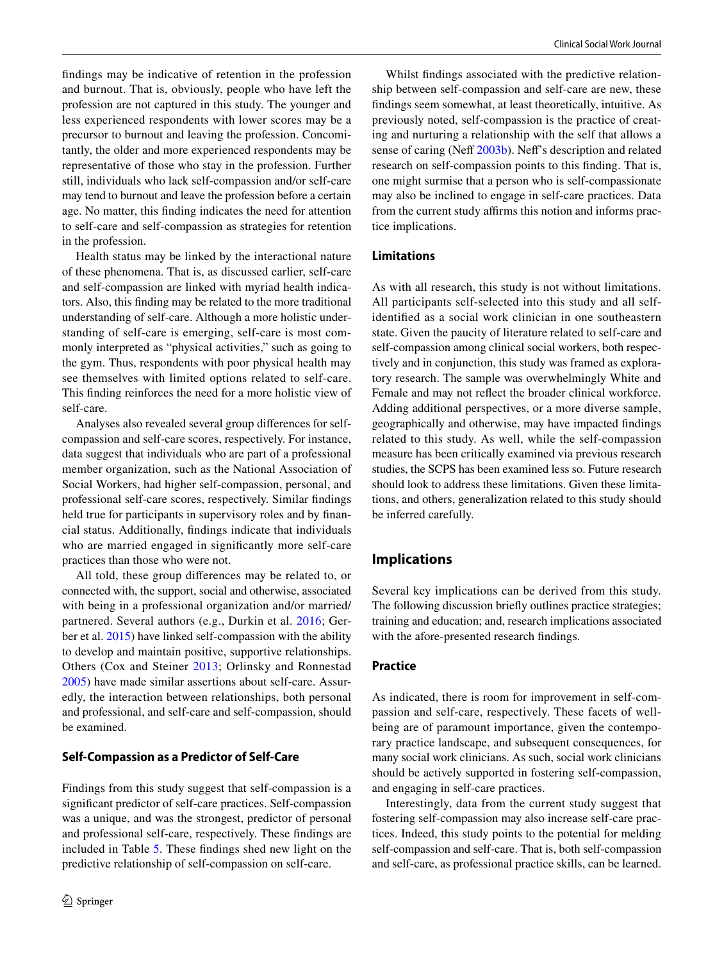fndings may be indicative of retention in the profession and burnout. That is, obviously, people who have left the profession are not captured in this study. The younger and less experienced respondents with lower scores may be a precursor to burnout and leaving the profession. Concomitantly, the older and more experienced respondents may be representative of those who stay in the profession. Further still, individuals who lack self-compassion and/or self-care may tend to burnout and leave the profession before a certain age. No matter, this fnding indicates the need for attention to self-care and self-compassion as strategies for retention in the profession.

Health status may be linked by the interactional nature of these phenomena. That is, as discussed earlier, self-care and self-compassion are linked with myriad health indicators. Also, this fnding may be related to the more traditional understanding of self-care. Although a more holistic understanding of self-care is emerging, self-care is most commonly interpreted as "physical activities," such as going to the gym. Thus, respondents with poor physical health may see themselves with limited options related to self-care. This fnding reinforces the need for a more holistic view of self-care.

Analyses also revealed several group diferences for selfcompassion and self-care scores, respectively. For instance, data suggest that individuals who are part of a professional member organization, such as the National Association of Social Workers, had higher self-compassion, personal, and professional self-care scores, respectively. Similar fndings held true for participants in supervisory roles and by financial status. Additionally, fndings indicate that individuals who are married engaged in significantly more self-care practices than those who were not.

All told, these group diferences may be related to, or connected with, the support, social and otherwise, associated with being in a professional organization and/or married/ partnered. Several authors (e.g., Durkin et al. [2016;](#page-9-20) Gerber et al. [2015\)](#page-9-21) have linked self-compassion with the ability to develop and maintain positive, supportive relationships. Others (Cox and Steiner [2013;](#page-9-4) Orlinsky and Ronnestad [2005](#page-10-10)) have made similar assertions about self-care. Assuredly, the interaction between relationships, both personal and professional, and self-care and self-compassion, should be examined.

## **Self‑Compassion as a Predictor of Self‑Care**

Findings from this study suggest that self-compassion is a signifcant predictor of self-care practices. Self-compassion was a unique, and was the strongest, predictor of personal and professional self-care, respectively. These fndings are included in Table [5](#page-6-0). These fndings shed new light on the predictive relationship of self-compassion on self-care.

Whilst fndings associated with the predictive relationship between self-compassion and self-care are new, these fndings seem somewhat, at least theoretically, intuitive. As previously noted, self-compassion is the practice of creating and nurturing a relationship with the self that allows a sense of caring (Neff [2003b](#page-9-27)). Neff's description and related research on self-compassion points to this fnding. That is, one might surmise that a person who is self-compassionate may also be inclined to engage in self-care practices. Data from the current study affirms this notion and informs practice implications.

#### **Limitations**

As with all research, this study is not without limitations. All participants self-selected into this study and all selfidentifed as a social work clinician in one southeastern state. Given the paucity of literature related to self-care and self-compassion among clinical social workers, both respectively and in conjunction, this study was framed as exploratory research. The sample was overwhelmingly White and Female and may not refect the broader clinical workforce. Adding additional perspectives, or a more diverse sample, geographically and otherwise, may have impacted fndings related to this study. As well, while the self-compassion measure has been critically examined via previous research studies, the SCPS has been examined less so. Future research should look to address these limitations. Given these limitations, and others, generalization related to this study should be inferred carefully.

## **Implications**

Several key implications can be derived from this study. The following discussion briefy outlines practice strategies; training and education; and, research implications associated with the afore-presented research fndings.

## **Practice**

As indicated, there is room for improvement in self-compassion and self-care, respectively. These facets of wellbeing are of paramount importance, given the contemporary practice landscape, and subsequent consequences, for many social work clinicians. As such, social work clinicians should be actively supported in fostering self-compassion, and engaging in self-care practices.

Interestingly, data from the current study suggest that fostering self-compassion may also increase self-care practices. Indeed, this study points to the potential for melding self-compassion and self-care. That is, both self-compassion and self-care, as professional practice skills, can be learned.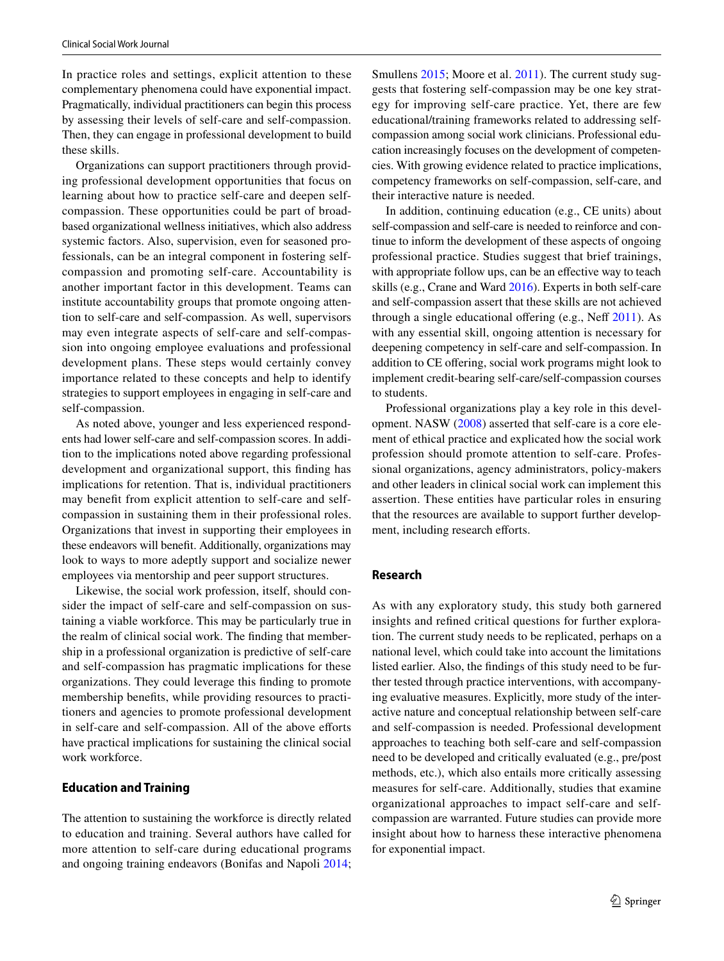In practice roles and settings, explicit attention to these complementary phenomena could have exponential impact. Pragmatically, individual practitioners can begin this process by assessing their levels of self-care and self-compassion. Then, they can engage in professional development to build these skills.

Organizations can support practitioners through providing professional development opportunities that focus on learning about how to practice self-care and deepen selfcompassion. These opportunities could be part of broadbased organizational wellness initiatives, which also address systemic factors. Also, supervision, even for seasoned professionals, can be an integral component in fostering selfcompassion and promoting self-care. Accountability is another important factor in this development. Teams can institute accountability groups that promote ongoing attention to self-care and self-compassion. As well, supervisors may even integrate aspects of self-care and self-compassion into ongoing employee evaluations and professional development plans. These steps would certainly convey importance related to these concepts and help to identify strategies to support employees in engaging in self-care and self-compassion.

As noted above, younger and less experienced respondents had lower self-care and self-compassion scores. In addition to the implications noted above regarding professional development and organizational support, this fnding has implications for retention. That is, individual practitioners may beneft from explicit attention to self-care and selfcompassion in sustaining them in their professional roles. Organizations that invest in supporting their employees in these endeavors will beneft. Additionally, organizations may look to ways to more adeptly support and socialize newer employees via mentorship and peer support structures.

Likewise, the social work profession, itself, should consider the impact of self-care and self-compassion on sustaining a viable workforce. This may be particularly true in the realm of clinical social work. The fnding that membership in a professional organization is predictive of self-care and self-compassion has pragmatic implications for these organizations. They could leverage this fnding to promote membership benefts, while providing resources to practitioners and agencies to promote professional development in self-care and self-compassion. All of the above efforts have practical implications for sustaining the clinical social work workforce.

## **Education and Training**

The attention to sustaining the workforce is directly related to education and training. Several authors have called for more attention to self-care during educational programs and ongoing training endeavors (Bonifas and Napoli [2014](#page-9-31); Smullens [2015;](#page-10-0) Moore et al. [2011](#page-9-32)). The current study suggests that fostering self-compassion may be one key strategy for improving self-care practice. Yet, there are few educational/training frameworks related to addressing selfcompassion among social work clinicians. Professional education increasingly focuses on the development of competencies. With growing evidence related to practice implications, competency frameworks on self-compassion, self-care, and their interactive nature is needed.

In addition, continuing education (e.g., CE units) about self-compassion and self-care is needed to reinforce and continue to inform the development of these aspects of ongoing professional practice. Studies suggest that brief trainings, with appropriate follow ups, can be an effective way to teach skills (e.g., Crane and Ward [2016\)](#page-9-33). Experts in both self-care and self-compassion assert that these skills are not achieved through a single educational offering (e.g., Neff  $2011$ ). As with any essential skill, ongoing attention is necessary for deepening competency in self-care and self-compassion. In addition to CE ofering, social work programs might look to implement credit-bearing self-care/self-compassion courses to students.

Professional organizations play a key role in this development. NASW ([2008\)](#page-9-1) asserted that self-care is a core element of ethical practice and explicated how the social work profession should promote attention to self-care. Professional organizations, agency administrators, policy-makers and other leaders in clinical social work can implement this assertion. These entities have particular roles in ensuring that the resources are available to support further development, including research efforts.

## **Research**

As with any exploratory study, this study both garnered insights and refned critical questions for further exploration. The current study needs to be replicated, perhaps on a national level, which could take into account the limitations listed earlier. Also, the fndings of this study need to be further tested through practice interventions, with accompanying evaluative measures. Explicitly, more study of the interactive nature and conceptual relationship between self-care and self-compassion is needed. Professional development approaches to teaching both self-care and self-compassion need to be developed and critically evaluated (e.g., pre/post methods, etc.), which also entails more critically assessing measures for self-care. Additionally, studies that examine organizational approaches to impact self-care and selfcompassion are warranted. Future studies can provide more insight about how to harness these interactive phenomena for exponential impact.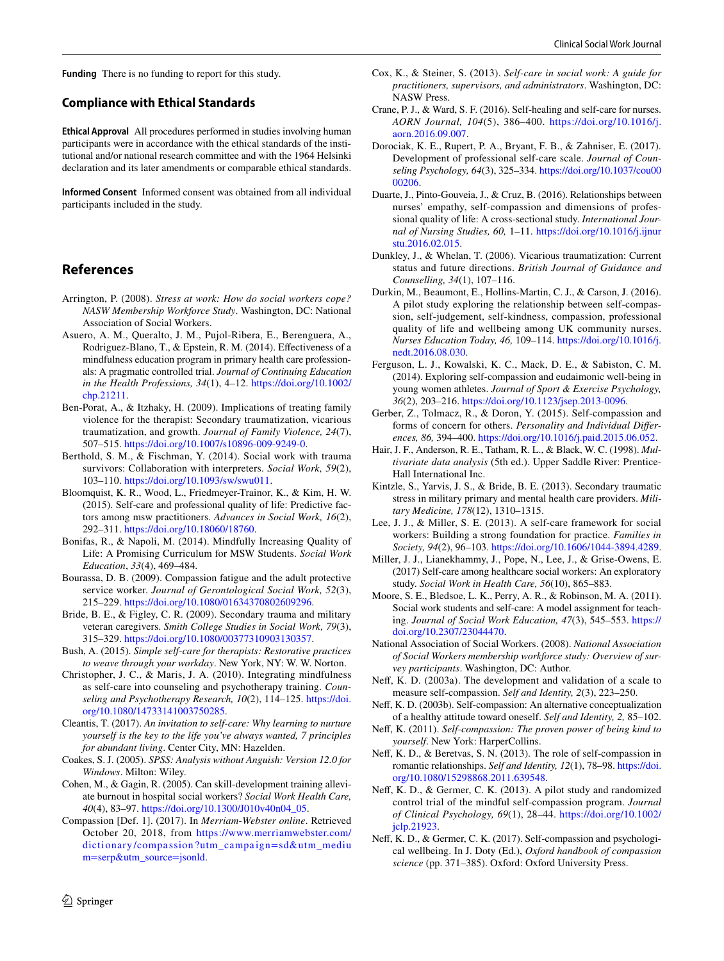**Funding** There is no funding to report for this study.

#### **Compliance with Ethical Standards**

**Ethical Approval** All procedures performed in studies involving human participants were in accordance with the ethical standards of the institutional and/or national research committee and with the 1964 Helsinki declaration and its later amendments or comparable ethical standards.

**Informed Consent** Informed consent was obtained from all individual participants included in the study.

## **References**

- <span id="page-9-13"></span>Arrington, P. (2008). *Stress at work: How do social workers cope? NASW Membership Workforce Study*. Washington, DC: National Association of Social Workers.
- <span id="page-9-26"></span>Asuero, A. M., Queralto, J. M., Pujol-Ribera, E., Berenguera, A., Rodriguez-Blano, T., & Epstein, R. M. (2014). Efectiveness of a mindfulness education program in primary health care professionals: A pragmatic controlled trial. *Journal of Continuing Education in the Health Professions, 34*(1), 4–12. [https://doi.org/10.1002/](https://doi.org/10.1002/chp.21211) [chp.21211.](https://doi.org/10.1002/chp.21211)
- <span id="page-9-18"></span>Ben-Porat, A., & Itzhaky, H. (2009). Implications of treating family violence for the therapist: Secondary traumatization, vicarious traumatization, and growth. *Journal of Family Violence, 24*(7), 507–515.<https://doi.org/10.1007/s10896-009-9249-0>.
- <span id="page-9-16"></span>Berthold, S. M., & Fischman, Y. (2014). Social work with trauma survivors: Collaboration with interpreters. *Social Work, 59*(2), 103–110.<https://doi.org/10.1093/sw/swu011>.
- <span id="page-9-5"></span>Bloomquist, K. R., Wood, L., Friedmeyer-Trainor, K., & Kim, H. W. (2015). Self-care and professional quality of life: Predictive factors among msw practitioners. *Advances in Social Work, 16*(2), 292–311.<https://doi.org/10.18060/18760>.
- <span id="page-9-31"></span>Bonifas, R., & Napoli, M. (2014). Mindfully Increasing Quality of Life: A Promising Curriculum for MSW Students. *Social Work Education*, *33*(4), 469–484.
- <span id="page-9-17"></span>Bourassa, D. B. (2009). Compassion fatigue and the adult protective service worker. *Journal of Gerontological Social Work, 52*(3), 215–229.<https://doi.org/10.1080/01634370802609296>.
- <span id="page-9-14"></span>Bride, B. E., & Figley, C. R. (2009). Secondary trauma and military veteran caregivers. *Smith College Studies in Social Work, 79*(3), 315–329.<https://doi.org/10.1080/00377310903130357>.
- <span id="page-9-11"></span>Bush, A. (2015). *Simple self-care for therapists: Restorative practices to weave through your workday*. New York, NY: W. W. Norton.
- <span id="page-9-15"></span>Christopher, J. C., & Maris, J. A. (2010). Integrating mindfulness as self-care into counseling and psychotherapy training. *Counseling and Psychotherapy Research, 10*(2), 114–125. [https://doi.](https://doi.org/10.1080/14733141003750285) [org/10.1080/14733141003750285](https://doi.org/10.1080/14733141003750285).
- <span id="page-9-6"></span>Cleantis, T. (2017). *An invitation to self-care: Why learning to nurture yourself is the key to the life you've always wanted, 7 principles for abundant living*. Center City, MN: Hazelden.
- <span id="page-9-28"></span>Coakes, S. J. (2005). *SPSS: Analysis without Anguish: Version 12.0 for Windows*. Milton: Wiley.
- <span id="page-9-25"></span>Cohen, M., & Gagin, R. (2005). Can skill-development training alleviate burnout in hospital social workers? *Social Work Health Care, 40*(4), 83–97. [https://doi.org/10.1300/J010v40n04\\_05](https://doi.org/10.1300/J010v40n04_05).
- <span id="page-9-9"></span>Compassion [Def. 1]. (2017). In *Merriam*-*Webster online*. Retrieved October 20, 2018, from [https://www.merriamwebster.com/](https://www.merriamwebster.com/dictionary/compassion%3futm_campaign%3dsd%26utm_medium%3dserp%26utm_source%3djsonld) dicti onary /compa ssion ?utm\_campa [ign=sd&utm\\_mediu](https://www.merriamwebster.com/dictionary/compassion%3futm_campaign%3dsd%26utm_medium%3dserp%26utm_source%3djsonld) [m=serp&utm\\_source=jsonld.](https://www.merriamwebster.com/dictionary/compassion%3futm_campaign%3dsd%26utm_medium%3dserp%26utm_source%3djsonld)
- <span id="page-9-4"></span>Cox, K., & Steiner, S. (2013). *Self-care in social work: A guide for practitioners, supervisors, and administrators*. Washington, DC: NASW Press.
- <span id="page-9-33"></span>Crane, P. J., & Ward, S. F. (2016). Self-healing and self-care for nurses. *AORN Journal, 104*(5), 386–400. [https://doi.org/10.1016/j.](https://doi.org/10.1016/j.aorn.2016.09.007) [aorn.2016.09.007.](https://doi.org/10.1016/j.aorn.2016.09.007)
- <span id="page-9-12"></span>Dorociak, K. E., Rupert, P. A., Bryant, F. B., & Zahniser, E. (2017). Development of professional self-care scale. *Journal of Counseling Psychology, 64*(3), 325–334. [https://doi.org/10.1037/cou00](https://doi.org/10.1037/cou0000206) [00206.](https://doi.org/10.1037/cou0000206)
- <span id="page-9-30"></span>Duarte, J., Pinto-Gouveia, J., & Cruz, B. (2016). Relationships between nurses' empathy, self-compassion and dimensions of professional quality of life: A cross-sectional study. *International Journal of Nursing Studies, 60,* 1–11. [https://doi.org/10.1016/j.ijnur](https://doi.org/10.1016/j.ijnurstu.2016.02.015) [stu.2016.02.015](https://doi.org/10.1016/j.ijnurstu.2016.02.015).
- <span id="page-9-0"></span>Dunkley, J., & Whelan, T. (2006). Vicarious traumatization: Current status and future directions. *British Journal of Guidance and Counselling, 34*(1), 107–116.
- <span id="page-9-20"></span>Durkin, M., Beaumont, E., Hollins-Martin, C. J., & Carson, J. (2016). A pilot study exploring the relationship between self-compassion, self-judgement, self-kindness, compassion, professional quality of life and wellbeing among UK community nurses. *Nurses Education Today, 46,* 109–114. [https://doi.org/10.1016/j.](https://doi.org/10.1016/j.nedt.2016.08.030) [nedt.2016.08.030](https://doi.org/10.1016/j.nedt.2016.08.030).
- <span id="page-9-23"></span>Ferguson, L. J., Kowalski, K. C., Mack, D. E., & Sabiston, C. M. (2014). Exploring self-compassion and eudaimonic well-being in young women athletes. *Journal of Sport & Exercise Psychology, 36*(2), 203–216. [https://doi.org/10.1123/jsep.2013-0096.](https://doi.org/10.1123/jsep.2013-0096)
- <span id="page-9-21"></span>Gerber, Z., Tolmacz, R., & Doron, Y. (2015). Self-compassion and forms of concern for others. *Personality and Individual Diferences, 86,* 394–400. <https://doi.org/10.1016/j.paid.2015.06.052>.
- <span id="page-9-29"></span>Hair, J. F., Anderson, R. E., Tatham, R. L., & Black, W. C. (1998). *Multivariate data analysis* (5th ed.). Upper Saddle River: Prentice-Hall International Inc.
- <span id="page-9-19"></span>Kintzle, S., Yarvis, J. S., & Bride, B. E. (2013). Secondary traumatic stress in military primary and mental health care providers. *Military Medicine, 178*(12), 1310–1315.
- <span id="page-9-2"></span>Lee, J. J., & Miller, S. E. (2013). A self-care framework for social workers: Building a strong foundation for practice. *Families in Society, 94*(2), 96–103.<https://doi.org/10.1606/1044-3894.4289>.
- <span id="page-9-3"></span>Miller, J. J., Lianekhammy, J., Pope, N., Lee, J., & Grise-Owens, E. (2017) Self-care among healthcare social workers: An exploratory study. *Social Work in Health Care, 56*(10), 865–883.
- <span id="page-9-32"></span>Moore, S. E., Bledsoe, L. K., Perry, A. R., & Robinson, M. A. (2011). Social work students and self-care: A model assignment for teaching. *Journal of Social Work Education, 47*(3), 545–553. [https://](https://doi.org/10.2307/23044470) [doi.org/10.2307/23044470.](https://doi.org/10.2307/23044470)
- <span id="page-9-1"></span>National Association of Social Workers. (2008). *National Association of Social Workers membership workforce study: Overview of survey participants*. Washington, DC: Author.
- <span id="page-9-7"></span>Nef, K. D. (2003a). The development and validation of a scale to measure self-compassion. *Self and Identity, 2*(3), 223–250.
- <span id="page-9-27"></span>Nef, K. D. (2003b). Self-compassion: An alternative conceptualization of a healthy attitude toward oneself. *Self and Identity, 2,* 85–102.
- <span id="page-9-24"></span>Nef, K. (2011). *Self-compassion: The proven power of being kind to yourself*. New York: HarperCollins.
- <span id="page-9-22"></span>Neff, K. D., & Beretvas, S. N. (2013). The role of self-compassion in romantic relationships. *Self and Identity, 12*(1), 78–98. [https://doi.](https://doi.org/10.1080/15298868.2011.639548) [org/10.1080/15298868.2011.639548.](https://doi.org/10.1080/15298868.2011.639548)
- <span id="page-9-10"></span>Nef, K. D., & Germer, C. K. (2013). A pilot study and randomized control trial of the mindful self-compassion program. *Journal of Clinical Psychology, 69*(1), 28–44. [https://doi.org/10.1002/](https://doi.org/10.1002/jclp.21923) [jclp.21923.](https://doi.org/10.1002/jclp.21923)
- <span id="page-9-8"></span>Nef, K. D., & Germer, C. K. (2017). Self-compassion and psychological wellbeing. In J. Doty (Ed.), *Oxford handbook of compassion science* (pp. 371–385). Oxford: Oxford University Press.